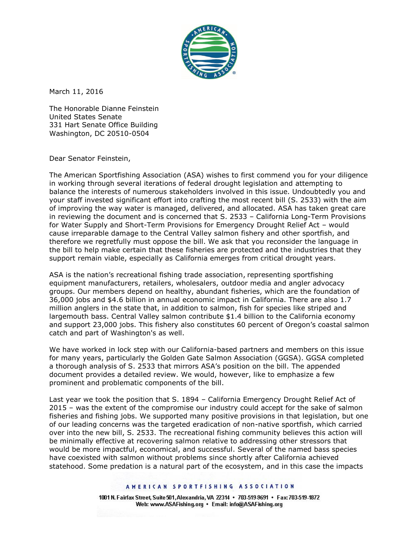

March 11, 2016

The Honorable Dianne Feinstein United States Senate 331 Hart Senate Office Building Washington, DC 20510-0504

Dear Senator Feinstein,

The American Sportfishing Association (ASA) wishes to first commend you for your diligence in working through several iterations of federal drought legislation and attempting to balance the interests of numerous stakeholders involved in this issue. Undoubtedly you and your staff invested significant effort into crafting the most recent bill (S. 2533) with the aim of improving the way water is managed, delivered, and allocated. ASA has taken great care in reviewing the document and is concerned that S. 2533 – California Long-Term Provisions for Water Supply and Short-Term Provisions for Emergency Drought Relief Act – would cause irreparable damage to the Central Valley salmon fishery and other sportfish, and therefore we regretfully must oppose the bill. We ask that you reconsider the language in the bill to help make certain that these fisheries are protected and the industries that they support remain viable, especially as California emerges from critical drought years.

ASA is the nation's recreational fishing trade association, representing sportfishing equipment manufacturers, retailers, wholesalers, outdoor media and angler advocacy groups. Our members depend on healthy, abundant fisheries, which are the foundation of 36,000 jobs and \$4.6 billion in annual economic impact in California. There are also 1.7 million anglers in the state that, in addition to salmon, fish for species like striped and largemouth bass. Central Valley salmon contribute \$1.4 billion to the California economy and support 23,000 jobs. This fishery also constitutes 60 percent of Oregon's coastal salmon catch and part of Washington's as well.

We have worked in lock step with our California-based partners and members on this issue for many years, particularly the Golden Gate Salmon Association (GGSA). GGSA completed a thorough analysis of S. 2533 that mirrors ASA's position on the bill. The appended document provides a detailed review. We would, however, like to emphasize a few prominent and problematic components of the bill.

Last year we took the position that S. 1894 – California Emergency Drought Relief Act of 2015 – was the extent of the compromise our industry could accept for the sake of salmon fisheries and fishing jobs. We supported many positive provisions in that legislation, but one of our leading concerns was the targeted eradication of non-native sportfish, which carried over into the new bill, S. 2533. The recreational fishing community believes this action will be minimally effective at recovering salmon relative to addressing other stressors that would be more impactful, economical, and successful. Several of the named bass species have coexisted with salmon without problems since shortly after California achieved statehood. Some predation is a natural part of the ecosystem, and in this case the impacts

### AMERICAN SPORTFISHING ASSOCIATION

1001 N. Fairfax Street, Suite 501, Alexandria, VA 22314 · 703-519-9691 · Fax: 703-519-1872 Web: www.ASAFishing.org . Email: info@ASAFishing.org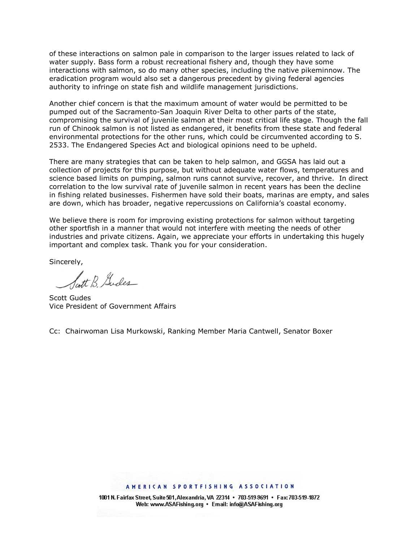of these interactions on salmon pale in comparison to the larger issues related to lack of water supply. Bass form a robust recreational fishery and, though they have some interactions with salmon, so do many other species, including the native pikeminnow. The eradication program would also set a dangerous precedent by giving federal agencies authority to infringe on state fish and wildlife management jurisdictions.

Another chief concern is that the maximum amount of water would be permitted to be pumped out of the Sacramento-San Joaquin River Delta to other parts of the state, compromising the survival of juvenile salmon at their most critical life stage. Though the fall run of Chinook salmon is not listed as endangered, it benefits from these state and federal environmental protections for the other runs, which could be circumvented according to S. 2533. The Endangered Species Act and biological opinions need to be upheld.

There are many strategies that can be taken to help salmon, and GGSA has laid out a collection of projects for this purpose, but without adequate water flows, temperatures and science based limits on pumping, salmon runs cannot survive, recover, and thrive. In direct correlation to the low survival rate of juvenile salmon in recent years has been the decline in fishing related businesses. Fishermen have sold their boats, marinas are empty, and sales are down, which has broader, negative repercussions on California's coastal economy.

We believe there is room for improving existing protections for salmon without targeting other sportfish in a manner that would not interfere with meeting the needs of other industries and private citizens. Again, we appreciate your efforts in undertaking this hugely important and complex task. Thank you for your consideration.

Sincerely,

latt B Gudes

Scott Gudes Vice President of Government Affairs

Cc: Chairwoman Lisa Murkowski, Ranking Member Maria Cantwell, Senator Boxer

### AMERICAN SPORTFISHING ASSOCIATION

1001 N. Fairfax Street, Suite 501, Alexandria, VA 22314 · 703-519-9691 · Fax: 703-519-1872 Web: www.ASAFishing.org . Email: info@ASAFishing.org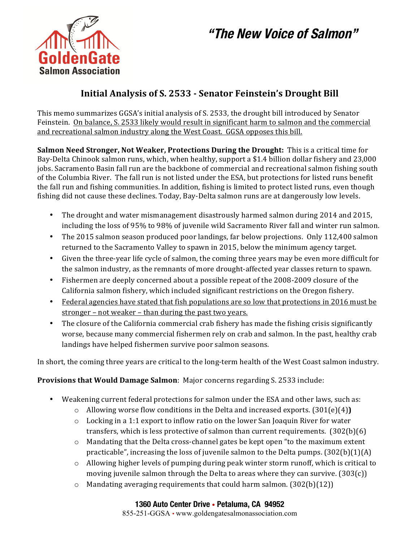# **"The New Voice of Salmon"**



# **Initial Analysis of S. 2533 - Senator Feinstein's Drought Bill**

This memo summarizes GGSA's initial analysis of S. 2533, the drought bill introduced by Senator Feinstein. On balance, S. 2533 likely would result in significant harm to salmon and the commercial and recreational salmon industry along the West Coast. GGSA opposes this bill.

**Salmon Need Stronger, Not Weaker, Protections During the Drought:** This is a critical time for Bay-Delta Chinook salmon runs, which, when healthy, support a \$1.4 billion dollar fishery and 23,000 jobs. Sacramento Basin fall run are the backbone of commercial and recreational salmon fishing south of the Columbia River. The fall run is not listed under the ESA, but protections for listed runs benefit the fall run and fishing communities. In addition, fishing is limited to protect listed runs, even though fishing did not cause these declines. Today, Bay-Delta salmon runs are at dangerously low levels.

- The drought and water mismanagement disastrously harmed salmon during 2014 and 2015, including the loss of 95% to 98% of juvenile wild Sacramento River fall and winter run salmon.
- The 2015 salmon season produced poor landings, far below projections. Only 112,400 salmon returned to the Sacramento Valley to spawn in 2015, below the minimum agency target.
- Given the three-year life cycle of salmon, the coming three years may be even more difficult for the salmon industry, as the remnants of more drought-affected year classes return to spawn.
- Fishermen are deeply concerned about a possible repeat of the 2008-2009 closure of the California salmon fishery, which included significant restrictions on the Oregon fishery.
- Federal agencies have stated that fish populations are so low that protections in 2016 must be  $stronger - not weaker - than during the past two years.$
- The closure of the California commercial crab fishery has made the fishing crisis significantly worse, because many commercial fishermen rely on crab and salmon. In the past, healthy crab landings have helped fishermen survive poor salmon seasons.

In short, the coming three years are critical to the long-term health of the West Coast salmon industry.

## **Provisions that Would Damage Salmon:** Major concerns regarding S. 2533 include:

- Weakening current federal protections for salmon under the ESA and other laws, such as:
	- $\circ$  Allowing worse flow conditions in the Delta and increased exports. (301(e)(4))
	- $\circ$  Locking in a 1:1 export to inflow ratio on the lower San Joaquin River for water transfers, which is less protective of salmon than current requirements.  $(302(b)(6))$
	- $\circ$  Mandating that the Delta cross-channel gates be kept open "to the maximum extent" practicable", increasing the loss of juvenile salmon to the Delta pumps.  $(302(b)(1)(A))$
	- $\circ$  Allowing higher levels of pumping during peak winter storm runoff, which is critical to moving juvenile salmon through the Delta to areas where they can survive.  $(303(c))$
	- $\circ$  Mandating averaging requirements that could harm salmon. (302(b)(12))

### **1360 Auto Center Drive • Petaluma, CA 94952**

855-251-GGSA • www.goldengatesalmonassociation.com